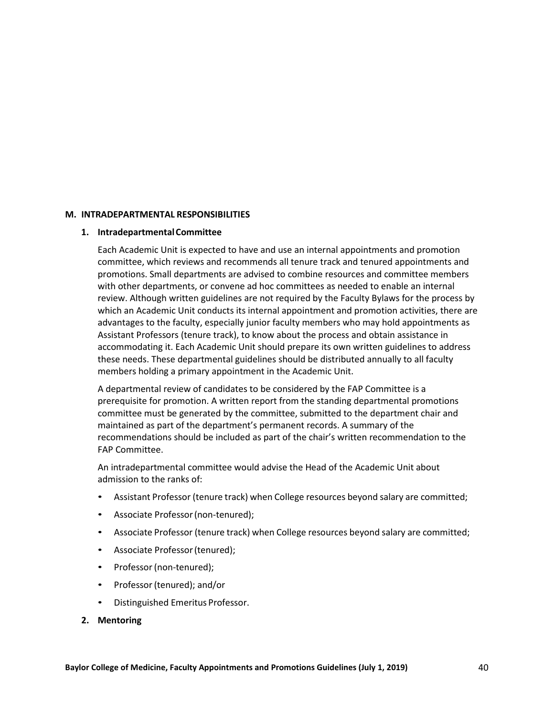## **M. INTRADEPARTMENTAL RESPONSIBILITIES**

## **1. IntradepartmentalCommittee**

Each Academic Unit is expected to have and use an internal appointments and promotion committee, which reviews and recommends all tenure track and tenured appointments and promotions. Small departments are advised to combine resources and committee members with other departments, or convene ad hoc committees as needed to enable an internal review. Although written guidelines are not required by the Faculty Bylaws for the process by which an Academic Unit conducts its internal appointment and promotion activities, there are advantages to the faculty, especially junior faculty members who may hold appointments as Assistant Professors (tenure track), to know about the process and obtain assistance in accommodating it. Each Academic Unit should prepare its own written guidelines to address these needs. These departmental guidelines should be distributed annually to all faculty members holding a primary appointment in the Academic Unit.

A departmental review of candidates to be considered by the FAP Committee is a prerequisite for promotion. A written report from the standing departmental promotions committee must be generated by the committee, submitted to the department chair and maintained as part of the department's permanent records. A summary of the recommendations should be included as part of the chair's written recommendation to the FAP Committee.

An intradepartmental committee would advise the Head of the Academic Unit about admission to the ranks of:

- Assistant Professor (tenure track) when College resources beyond salary are committed;
- Associate Professor(non-tenured);
- Associate Professor (tenure track) when College resources beyond salary are committed;
- Associate Professor (tenured);
- Professor (non-tenured);
- Professor (tenured); and/or
- Distinguished Emeritus Professor.

## **2. Mentoring**